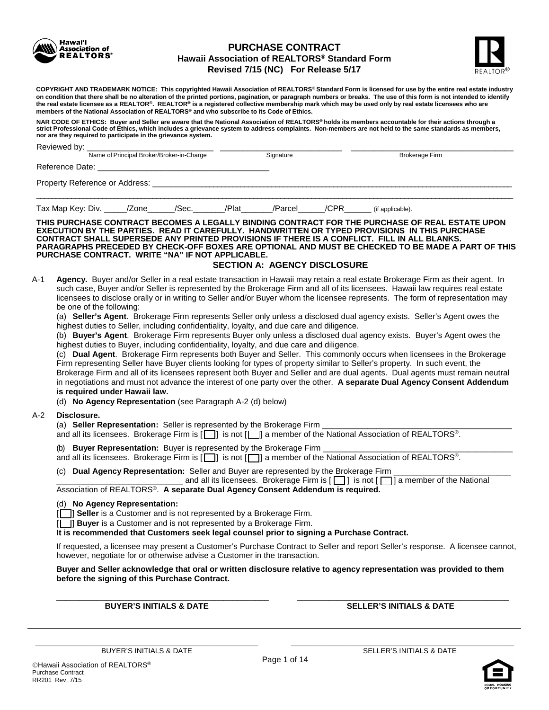

# **PURCHASE CONTRACT Hawaii Association of REALTORS® Standard Form Revised 7/15 (NC) For Release 5/17**



**COPYRIGHT AND TRADEMARK NOTICE: This copyrighted Hawaii Association of REALTORS® Standard Form is licensed for use by the entire real estate industry on condition that there shall be no alteration of the printed portions, pagination, or paragraph numbers or breaks. The use of this form is not intended to identify the real estate licensee as a REALTOR®. REALTOR® is a registered collective membership mark which may be used only by real estate licensees who are members of the National Association of REALTORS® and who subscribe to its Code of Ethics.**

**NAR CODE OF ETHICS: Buyer and Seller are aware that the National Association of REALTORS® holds its members accountable for their actions through a strict Professional Code of Ethics, which includes a grievance system to address complaints. Non-members are not held to the same standards as members, nor are they required to participate in the grievance system.**

| Reviewed by: _<br>Name of Principal Broker/Broker-in-Charge                                                                                                                                                                    |  |       |       | Signature |      | <b>Brokerage Firm</b>                                                                          |  |
|--------------------------------------------------------------------------------------------------------------------------------------------------------------------------------------------------------------------------------|--|-------|-------|-----------|------|------------------------------------------------------------------------------------------------|--|
|                                                                                                                                                                                                                                |  |       |       |           |      |                                                                                                |  |
| Property Reference or Address: New York Changes and Changes and Changes and Changes and Changes and Changes and Changes and Changes and Changes and Changes and Changes and Changes and Changes and Changes and Changes and Ch |  |       |       |           |      |                                                                                                |  |
| Tax Map Key: Div. /Zone                                                                                                                                                                                                        |  | /Sec. | /Plat | /Parcel   | /CPR | (if applicable).                                                                               |  |
|                                                                                                                                                                                                                                |  |       |       |           |      | THIS BUDGHASE CONTRACT RESONES A LEGALLY BINBING CONTRACT FOR THE BURGHASE OF REAL FSTATE HRON |  |

**THIS PURCHASE CONTRACT BECOMES A LEGALLY BINDING CONTRACT FOR THE PURCHASE OF REAL ESTATE UPON EXECUTION BY THE PARTIES. READ IT CAREFULLY. HANDWRITTEN OR TYPED PROVISIONS IN THIS PURCHASE CONTRACT SHALL SUPERSEDE ANY PRINTED PROVISIONS IF THERE IS A CONFLICT. FILL IN ALL BLANKS. PARAGRAPHS PRECEDED BY CHECK-OFF BOXES ARE OPTIONAL AND MUST BE CHECKED TO BE MADE A PART OF THIS PURCHASE CONTRACT. WRITE "NA" IF NOT APPLICABLE.**

### **SECTION A: AGENCY DISCLOSURE**

A-1 **Agency.** Buyer and/or Seller in a real estate transaction in Hawaii may retain a real estate Brokerage Firm as their agent. In such case, Buyer and/or Seller is represented by the Brokerage Firm and all of its licensees. Hawaii law requires real estate licensees to disclose orally or in writing to Seller and/or Buyer whom the licensee represents. The form of representation may be one of the following:

(a) **Seller's Agent**. Brokerage Firm represents Seller only unless a disclosed dual agency exists. Seller's Agent owes the highest duties to Seller, including confidentiality, loyalty, and due care and diligence.

(b) **Buyer's Agent**. Brokerage Firm represents Buyer only unless a disclosed dual agency exists. Buyer's Agent owes the highest duties to Buyer, including confidentiality, loyalty, and due care and diligence.

(c) **Dual Agent**. Brokerage Firm represents both Buyer and Seller. This commonly occurs when licensees in the Brokerage Firm representing Seller have Buyer clients looking for types of property similar to Seller's property. In such event, the Brokerage Firm and all of its licensees represent both Buyer and Seller and are dual agents. Dual agents must remain neutral in negotiations and must not advance the interest of one party over the other. **A separate Dual Agency Consent Addendum**

### **is required under Hawaii law.**

(d) **No Agency Representation** (see Paragraph A-2 (d) below)

### A-2 **Disclosure.**

(a) **Seller Representation:** Seller is represented by the Brokerage Firm

and all its licensees. Brokerage Firm is  $[\ ]$  is not  $[\ ]$  a member of the National Association of REALTORS®.

(b) **Buyer Representation:** Buyer is represented by the Brokerage Firm \_\_\_\_\_\_\_\_\_\_\_\_\_\_\_\_\_\_\_\_\_\_\_\_\_\_\_\_\_\_\_\_\_\_\_\_\_\_\_\_\_\_

and all its licensees. Brokerage Firm is  $\lceil \bigcap \rceil$  is not  $\lceil \bigcap \rceil$  a member of the National Association of REALTORS®.

(c) **Dual Agency Representation:** Seller and Buyer are represented by the Brokerage Firm \_\_\_\_\_\_\_\_\_\_\_\_\_\_\_\_\_\_\_\_\_\_\_\_\_\_

and all its licensees. Brokerage Firm is  $[\ ]$  is not  $[\ ]$  a member of the National Association of REALTORS®. **A separate Dual Agency Consent Addendum is required.**

#### (d) **No Agency Representation:**

**[ ] Seller** is a Customer and is not represented by a Brokerage Firm.

**[ ] Buyer** is a Customer and is not represented by a Brokerage Firm.

**It is recommended that Customers seek legal counsel prior to signing a Purchase Contract.**

If requested, a licensee may present a Customer's Purchase Contract to Seller and report Seller's response. A licensee cannot, however, negotiate for or otherwise advise a Customer in the transaction.

#### **Buyer and Seller acknowledge that oral or written disclosure relative to agency representation was provided to them before the signing of this Purchase Contract.**

\_\_\_\_\_\_\_\_\_\_\_\_\_\_\_\_\_\_\_\_\_\_\_\_\_\_\_\_\_\_\_\_\_\_\_\_\_\_\_\_\_\_\_\_\_\_\_ \_\_\_\_\_\_\_\_\_\_\_\_\_\_\_\_\_\_\_\_\_\_\_\_\_\_\_\_\_\_\_\_\_\_\_\_\_\_\_\_\_\_\_\_\_\_\_ **BUYER'S INITIALS & DATE SELLER'S INITIALS & DATE**

Hawaii Association of REALTORS®

Purchase Contract RR201 Rev. 7/15



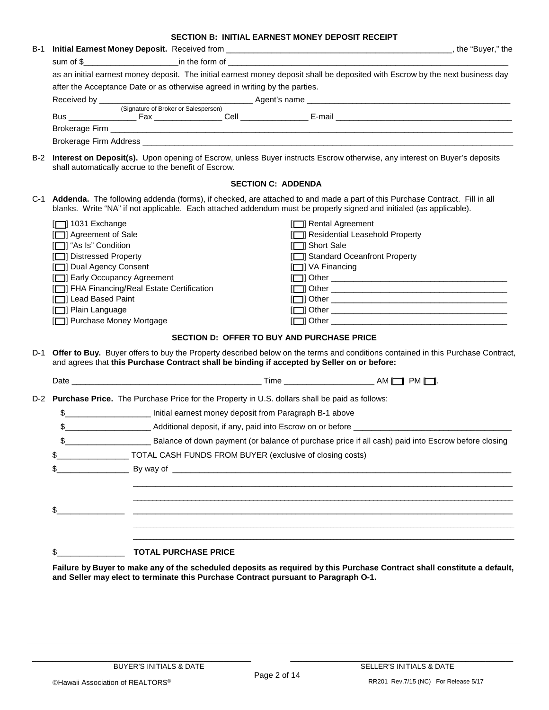|     |                                                                                                                                                                                                                                                   | <b>SECTION B: INITIAL EARNEST MONEY DEPOSIT RECEIPT</b>                                                                                                                                                                                                                                                                                       |                           |                                                                                                                                |  |  |  |
|-----|---------------------------------------------------------------------------------------------------------------------------------------------------------------------------------------------------------------------------------------------------|-----------------------------------------------------------------------------------------------------------------------------------------------------------------------------------------------------------------------------------------------------------------------------------------------------------------------------------------------|---------------------------|--------------------------------------------------------------------------------------------------------------------------------|--|--|--|
| B-1 |                                                                                                                                                                                                                                                   |                                                                                                                                                                                                                                                                                                                                               |                           |                                                                                                                                |  |  |  |
|     |                                                                                                                                                                                                                                                   |                                                                                                                                                                                                                                                                                                                                               |                           |                                                                                                                                |  |  |  |
|     |                                                                                                                                                                                                                                                   |                                                                                                                                                                                                                                                                                                                                               |                           | as an initial earnest money deposit. The initial earnest money deposit shall be deposited with Escrow by the next business day |  |  |  |
|     |                                                                                                                                                                                                                                                   | after the Acceptance Date or as otherwise agreed in writing by the parties.                                                                                                                                                                                                                                                                   |                           |                                                                                                                                |  |  |  |
|     |                                                                                                                                                                                                                                                   |                                                                                                                                                                                                                                                                                                                                               |                           |                                                                                                                                |  |  |  |
|     |                                                                                                                                                                                                                                                   |                                                                                                                                                                                                                                                                                                                                               |                           |                                                                                                                                |  |  |  |
|     |                                                                                                                                                                                                                                                   |                                                                                                                                                                                                                                                                                                                                               |                           |                                                                                                                                |  |  |  |
|     |                                                                                                                                                                                                                                                   |                                                                                                                                                                                                                                                                                                                                               |                           |                                                                                                                                |  |  |  |
|     |                                                                                                                                                                                                                                                   | shall automatically accrue to the benefit of Escrow.                                                                                                                                                                                                                                                                                          |                           | B-2 Interest on Deposit(s). Upon opening of Escrow, unless Buyer instructs Escrow otherwise, any interest on Buyer's deposits  |  |  |  |
|     |                                                                                                                                                                                                                                                   |                                                                                                                                                                                                                                                                                                                                               | <b>SECTION C: ADDENDA</b> |                                                                                                                                |  |  |  |
| C-1 | Addenda. The following addenda (forms), if checked, are attached to and made a part of this Purchase Contract. Fill in all<br>blanks. Write "NA" if not applicable. Each attached addendum must be properly signed and initialed (as applicable). |                                                                                                                                                                                                                                                                                                                                               |                           |                                                                                                                                |  |  |  |
|     | $\Box$ ] 1031 Exchange                                                                                                                                                                                                                            |                                                                                                                                                                                                                                                                                                                                               |                           | Rental Agreement                                                                                                               |  |  |  |
|     | [□ Agreement of Sale                                                                                                                                                                                                                              |                                                                                                                                                                                                                                                                                                                                               |                           | Residential Leasehold Property                                                                                                 |  |  |  |
|     | [□] "As Is" Condition<br>[O] Distressed Property                                                                                                                                                                                                  |                                                                                                                                                                                                                                                                                                                                               | [□] Short Sale            | Standard Oceanfront Property                                                                                                   |  |  |  |
|     | [O] Dual Agency Consent                                                                                                                                                                                                                           |                                                                                                                                                                                                                                                                                                                                               |                           | $\Box$ ] VA Financing                                                                                                          |  |  |  |
|     | Early Occupancy Agreement                                                                                                                                                                                                                         |                                                                                                                                                                                                                                                                                                                                               |                           |                                                                                                                                |  |  |  |
|     |                                                                                                                                                                                                                                                   | FHA Financing/Real Estate Certification                                                                                                                                                                                                                                                                                                       |                           |                                                                                                                                |  |  |  |
|     | [□] Lead Based Paint                                                                                                                                                                                                                              |                                                                                                                                                                                                                                                                                                                                               |                           |                                                                                                                                |  |  |  |
|     | [□] Plain Language<br>Purchase Money Mortgage                                                                                                                                                                                                     |                                                                                                                                                                                                                                                                                                                                               |                           |                                                                                                                                |  |  |  |
|     |                                                                                                                                                                                                                                                   |                                                                                                                                                                                                                                                                                                                                               |                           |                                                                                                                                |  |  |  |
|     | <b>SECTION D: OFFER TO BUY AND PURCHASE PRICE</b><br>Offer to Buy. Buyer offers to buy the Property described below on the terms and conditions contained in this Purchase Contract,                                                              |                                                                                                                                                                                                                                                                                                                                               |                           |                                                                                                                                |  |  |  |
| D-1 |                                                                                                                                                                                                                                                   | and agrees that this Purchase Contract shall be binding if accepted by Seller on or before:                                                                                                                                                                                                                                                   |                           |                                                                                                                                |  |  |  |
|     |                                                                                                                                                                                                                                                   | Date $\qquad \qquad$ $\qquad \qquad$ $\qquad$ $\qquad$ $\qquad$ $\qquad$ $\qquad$ $\qquad$ $\qquad$ $\qquad$ $\qquad$ $\qquad$ $\qquad$ $\qquad$ $\qquad$ $\qquad$ $\qquad$ $\qquad$ $\qquad$ $\qquad$ $\qquad$ $\qquad$ $\qquad$ $\qquad$ $\qquad$ $\qquad$ $\qquad$ $\qquad$ $\qquad$ $\qquad$ $\qquad$ $\qquad$ $\qquad$ $\qquad$ $\qquad$ |                           |                                                                                                                                |  |  |  |
|     |                                                                                                                                                                                                                                                   | D-2 Purchase Price. The Purchase Price for the Property in U.S. dollars shall be paid as follows:                                                                                                                                                                                                                                             |                           |                                                                                                                                |  |  |  |
|     | \$                                                                                                                                                                                                                                                | Initial earnest money deposit from Paragraph B-1 above                                                                                                                                                                                                                                                                                        |                           |                                                                                                                                |  |  |  |
|     | \$                                                                                                                                                                                                                                                | ____________ Additional deposit, if any, paid into Escrow on or before _                                                                                                                                                                                                                                                                      |                           |                                                                                                                                |  |  |  |
|     | \$                                                                                                                                                                                                                                                |                                                                                                                                                                                                                                                                                                                                               |                           | Balance of down payment (or balance of purchase price if all cash) paid into Escrow before closing                             |  |  |  |
|     | \$                                                                                                                                                                                                                                                | TOTAL CASH FUNDS FROM BUYER (exclusive of closing costs)                                                                                                                                                                                                                                                                                      |                           |                                                                                                                                |  |  |  |
|     | \$                                                                                                                                                                                                                                                |                                                                                                                                                                                                                                                                                                                                               |                           |                                                                                                                                |  |  |  |
|     |                                                                                                                                                                                                                                                   |                                                                                                                                                                                                                                                                                                                                               |                           |                                                                                                                                |  |  |  |
|     |                                                                                                                                                                                                                                                   |                                                                                                                                                                                                                                                                                                                                               |                           |                                                                                                                                |  |  |  |
|     | \$                                                                                                                                                                                                                                                |                                                                                                                                                                                                                                                                                                                                               |                           |                                                                                                                                |  |  |  |
|     |                                                                                                                                                                                                                                                   |                                                                                                                                                                                                                                                                                                                                               |                           |                                                                                                                                |  |  |  |
|     |                                                                                                                                                                                                                                                   | <b>TOTAL PURCHASE PRICE</b>                                                                                                                                                                                                                                                                                                                   |                           |                                                                                                                                |  |  |  |

**Failure by Buyer to make any of the scheduled deposits as required by this Purchase Contract shall constitute a default, and Seller may elect to terminate this Purchase Contract pursuant to Paragraph O-1.**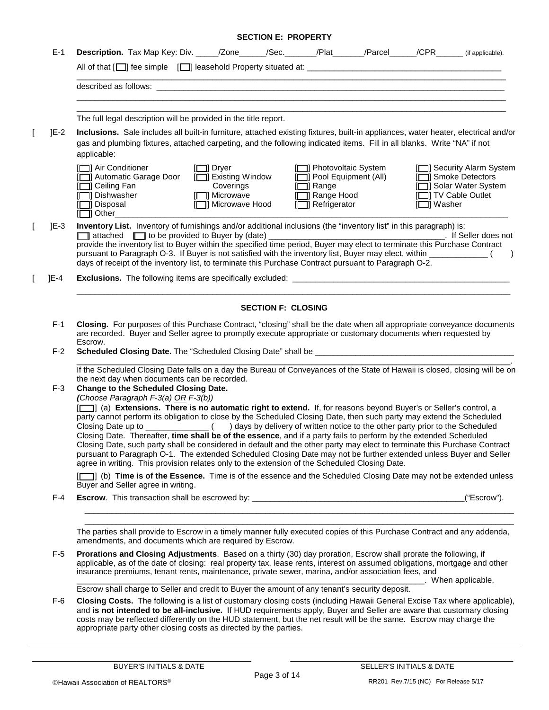# **SECTION E: PROPERTY**

| $E-1$   | Description. Tax Map Key: Div. _____/Zone______/Sec. _______/Plat_______/Parcel ______/CPR_______ (if applicable).                                                                                                                                                                                                                                                                                                                                                                                                                                                                                                                                                                                                                                        |  |  |  |  |  |  |  |
|---------|-----------------------------------------------------------------------------------------------------------------------------------------------------------------------------------------------------------------------------------------------------------------------------------------------------------------------------------------------------------------------------------------------------------------------------------------------------------------------------------------------------------------------------------------------------------------------------------------------------------------------------------------------------------------------------------------------------------------------------------------------------------|--|--|--|--|--|--|--|
|         |                                                                                                                                                                                                                                                                                                                                                                                                                                                                                                                                                                                                                                                                                                                                                           |  |  |  |  |  |  |  |
|         |                                                                                                                                                                                                                                                                                                                                                                                                                                                                                                                                                                                                                                                                                                                                                           |  |  |  |  |  |  |  |
|         |                                                                                                                                                                                                                                                                                                                                                                                                                                                                                                                                                                                                                                                                                                                                                           |  |  |  |  |  |  |  |
|         | The full legal description will be provided in the title report.                                                                                                                                                                                                                                                                                                                                                                                                                                                                                                                                                                                                                                                                                          |  |  |  |  |  |  |  |
| $ E-2 $ | Inclusions. Sale includes all built-in furniture, attached existing fixtures, built-in appliances, water heater, electrical and/or<br>gas and plumbing fixtures, attached carpeting, and the following indicated items. Fill in all blanks. Write "NA" if not<br>applicable:                                                                                                                                                                                                                                                                                                                                                                                                                                                                              |  |  |  |  |  |  |  |
|         | Air Conditioner<br>[□] Photovoltaic System<br>[□] Security Alarm System<br>$[\Box]$ Dryer<br>Automatic Garage Door<br>[11] Pool Equipment (All)<br>Smoke Detectors<br>[□] Existing Window<br>[□] Ceiling Fan<br>Coverings<br>$\Box$ Range<br>[□] Solar Water System<br><b>[□]</b> Dishwasher<br>[C] Microwave<br>[□] Range Hood<br>[□] TV Cable Outlet<br>[ <sup>1</sup> ] Disposal<br>[□] Microwave Hood<br>[□] Refrigerator<br>[□] Washer                                                                                                                                                                                                                                                                                                               |  |  |  |  |  |  |  |
| $JE-3$  | Inventory List. Inventory of furnishings and/or additional inclusions (the "inventory list" in this paragraph) is:<br>attached inventory list to Buyer within the specified time period, Buyer may elect to terminate this Purchase Contract provide the inventory list to Buyer within the specified time period, Buyer may elect to terminate this<br>$\rightarrow$<br>days of receipt of the inventory list, to terminate this Purchase Contract pursuant to Paragraph O-2.                                                                                                                                                                                                                                                                            |  |  |  |  |  |  |  |
| ]E-4    |                                                                                                                                                                                                                                                                                                                                                                                                                                                                                                                                                                                                                                                                                                                                                           |  |  |  |  |  |  |  |
|         | <b>SECTION F: CLOSING</b>                                                                                                                                                                                                                                                                                                                                                                                                                                                                                                                                                                                                                                                                                                                                 |  |  |  |  |  |  |  |
| F-1     | Closing. For purposes of this Purchase Contract, "closing" shall be the date when all appropriate conveyance documents<br>are recorded. Buyer and Seller agree to promptly execute appropriate or customary documents when requested by                                                                                                                                                                                                                                                                                                                                                                                                                                                                                                                   |  |  |  |  |  |  |  |
| $F-2$   | Escrow.                                                                                                                                                                                                                                                                                                                                                                                                                                                                                                                                                                                                                                                                                                                                                   |  |  |  |  |  |  |  |
| $F-3$   | If the Scheduled Closing Date falls on a day the Bureau of Conveyances of the State of Hawaii is closed, closing will be on<br>the next day when documents can be recorded.<br>Change to the Scheduled Closing Date.                                                                                                                                                                                                                                                                                                                                                                                                                                                                                                                                      |  |  |  |  |  |  |  |
|         | (Choose Paragraph F-3(a) OR F-3(b))<br>[16] (a) Extensions. There is no automatic right to extend. If, for reasons beyond Buyer's or Seller's control, a<br>party cannot perform its obligation to close by the Scheduled Closing Date, then such party may extend the Scheduled<br>Closing Date. Thereafter, time shall be of the essence, and if a party fails to perform by the extended Scheduled<br>Closing Date, such party shall be considered in default and the other party may elect to terminate this Purchase Contract<br>pursuant to Paragraph O-1. The extended Scheduled Closing Date may not be further extended unless Buyer and Seller<br>agree in writing. This provision relates only to the extension of the Scheduled Closing Date. |  |  |  |  |  |  |  |
|         | (b) Time is of the Essence. Time is of the essence and the Scheduled Closing Date may not be extended unless<br>Buyer and Seller agree in writing.                                                                                                                                                                                                                                                                                                                                                                                                                                                                                                                                                                                                        |  |  |  |  |  |  |  |
| $F-4$   | Escrow. This transaction shall be escrowed by: __________________________________<br>_("Escrow").                                                                                                                                                                                                                                                                                                                                                                                                                                                                                                                                                                                                                                                         |  |  |  |  |  |  |  |
|         | The parties shall provide to Escrow in a timely manner fully executed copies of this Purchase Contract and any addenda,<br>amendments, and documents which are required by Escrow.                                                                                                                                                                                                                                                                                                                                                                                                                                                                                                                                                                        |  |  |  |  |  |  |  |
| $F-5$   | Prorations and Closing Adjustments. Based on a thirty (30) day proration, Escrow shall prorate the following, if<br>applicable, as of the date of closing: real property tax, lease rents, interest on assumed obligations, mortgage and other<br>insurance premiums, tenant rents, maintenance, private sewer, marina, and/or association fees, and<br>When applicable,                                                                                                                                                                                                                                                                                                                                                                                  |  |  |  |  |  |  |  |
|         | Escrow shall charge to Seller and credit to Buyer the amount of any tenant's security deposit.                                                                                                                                                                                                                                                                                                                                                                                                                                                                                                                                                                                                                                                            |  |  |  |  |  |  |  |
| $F-6$   | Closing Costs. The following is a list of customary closing costs (including Hawaii General Excise Tax where applicable),<br>and is not intended to be all-inclusive. If HUD requirements apply, Buyer and Seller are aware that customary closing<br>costs may be reflected differently on the HUD statement, but the net result will be the same. Escrow may charge the<br>appropriate party other closing costs as directed by the parties.                                                                                                                                                                                                                                                                                                            |  |  |  |  |  |  |  |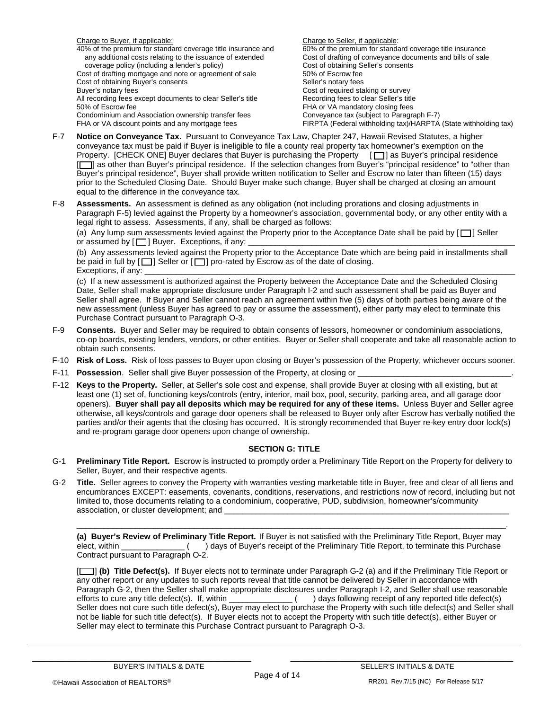Charge to Buyer, if applicable: 40% of the premium for standard coverage title insurance and any additional costs relating to the issuance of extended coverage policy (including a lender's policy) Cost of drafting mortgage and note or agreement of sale Cost of obtaining Buyer's consents Buyer's notary fees All recording fees except documents to clear Seller's title 50% of Escrow fee Condominium and Association ownership transfer fees FHA or VA discount points and any mortgage fees

Charge to Seller, if applicable: 60% of the premium for standard coverage title insurance Cost of drafting of conveyance documents and bills of sale Cost of obtaining Seller's consents 50% of Escrow fee Seller's notary fees Cost of required staking or survey Recording fees to clear Seller's title FHA or VA mandatory closing fees Conveyance tax (subject to Paragraph F-7) FIRPTA (Federal withholding tax)/HARPTA (State withholding tax)

- F-7 **Notice on Conveyance Tax.** Pursuant to Conveyance Tax Law, Chapter 247, Hawaii Revised Statutes, a higher conveyance tax must be paid if Buyer is ineligible to file a county real property tax homeowner's exemption on the Property. [CHECK ONE] Buyer declares that Buyer is purchasing the Property [  $\Box$ ] as Buyer's principal residence [ ] as other than Buyer's principal residence. If the selection changes from Buyer's "principal residence" to "other than Buyer's principal residence", Buyer shall provide written notification to Seller and Escrow no later than fifteen (15) days prior to the Scheduled Closing Date. Should Buyer make such change, Buyer shall be charged at closing an amount equal to the difference in the conveyance tax.
- F-8 **Assessments.** An assessment is defined as any obligation (not including prorations and closing adjustments in Paragraph F-5) levied against the Property by a homeowner's association, governmental body, or any other entity with a legal right to assess. Assessments, if any, shall be charged as follows:

(a) Any lump sum assessments levied against the Property prior to the Acceptance Date shall be paid by  $[\Box]$  Seller or assumed by  $[\Box]$  Buyer. Exceptions, if any:

 (b) Any assessments levied against the Property prior to the Acceptance Date which are being paid in installments shall be paid in full by  $[\Box]$  Seller or  $[\Box]$  pro-rated by Escrow as of the date of closing. Exceptions, if any:

(c) If a new assessment is authorized against the Property between the Acceptance Date and the Scheduled Closing Date, Seller shall make appropriate disclosure under Paragraph I-2 and such assessment shall be paid as Buyer and Seller shall agree. If Buyer and Seller cannot reach an agreement within five (5) days of both parties being aware of the new assessment (unless Buyer has agreed to pay or assume the assessment), either party may elect to terminate this Purchase Contract pursuant to Paragraph O-3.

- F-9 **Consents.** Buyer and Seller may be required to obtain consents of lessors, homeowner or condominium associations, co-op boards, existing lenders, vendors, or other entities. Buyer or Seller shall cooperate and take all reasonable action to obtain such consents.
- F-10 **Risk of Loss.** Risk of loss passes to Buyer upon closing or Buyer's possession of the Property, whichever occurs sooner.
- F-11 **Possession**. Seller shall give Buyer possession of the Property, at closing or
- F-12 **Keys to the Property.** Seller, at Seller's sole cost and expense, shall provide Buyer at closing with all existing, but at least one (1) set of, functioning keys/controls (entry, interior, mail box, pool, security, parking area, and all garage door openers). **Buyer shall pay all deposits which may be required for any of these items.** Unless Buyer and Seller agree otherwise, all keys/controls and garage door openers shall be released to Buyer only after Escrow has verbally notified the parties and/or their agents that the closing has occurred. It is strongly recommended that Buyer re-key entry door lock(s) and re-program garage door openers upon change of ownership.

# **SECTION G: TITLE**

- G-1 **Preliminary Title Report.** Escrow is instructed to promptly order a Preliminary Title Report on the Property for delivery to Seller, Buyer, and their respective agents.
- G-2 **Title.** Seller agrees to convey the Property with warranties vesting marketable title in Buyer, free and clear of all liens and encumbrances EXCEPT: easements, covenants, conditions, reservations, and restrictions now of record, including but not limited to, those documents relating to a condominium, cooperative, PUD, subdivision, homeowner's/community association, or cluster development; and

**(a) Buyer's Review of Preliminary Title Report.** If Buyer is not satisfied with the Preliminary Title Report, Buyer may  $\epsilon$ ) days of Buyer's receipt of the Preliminary Title Report, to terminate this Purchase Contract pursuant to Paragraph O-2.

\_\_\_\_\_\_\_\_\_\_\_\_\_\_\_\_\_\_\_\_\_\_\_\_\_\_\_\_\_\_\_\_\_\_\_\_\_\_\_\_\_\_\_\_\_\_\_\_\_\_\_\_\_\_\_\_\_\_\_\_\_\_\_\_\_\_\_\_\_\_\_\_\_\_\_\_\_\_\_\_\_\_\_\_\_\_\_\_\_\_\_\_\_\_\_.

[ $\Box$ ] (b) Title Defect(s). If Buyer elects not to terminate under Paragraph G-2 (a) and if the Preliminary Title Report or any other report or any updates to such reports reveal that title cannot be delivered by Seller in accordance with Paragraph G-2, then the Seller shall make appropriate disclosures under Paragraph I-2, and Seller shall use reasonable efforts to cure any title defect(s). If, within  $($   $)$  days following receipt of any reported title defect(s) Seller does not cure such title defect(s), Buyer may elect to purchase the Property with such title defect(s) and Seller shall not be liable for such title defect(s). If Buyer elects not to accept the Property with such title defect(s), either Buyer or Seller may elect to terminate this Purchase Contract pursuant to Paragraph O-3.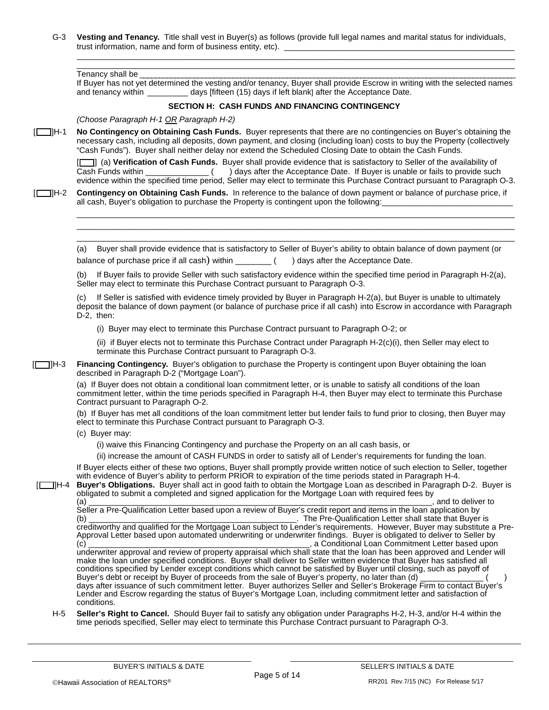G-3 **Vesting and Tenancy.** Title shall vest in Buyer(s) as follows (provide full legal names and marital status for individuals, trust information, name and form of business entity, etc).

 $\mathcal{L}_\text{max}$  , and the contribution of the contribution of the contribution of the contribution of the contribution of the contribution of the contribution of the contribution of the contribution of the contribution of t Tenancy shall be

If Buyer has not yet determined the vesting and/or tenancy, Buyer shall provide Escrow in writing with the selected names and tenancy within **the acceptance of the Acceptance Date.**  $\frac{1}{2}$  days if left blank] after the Acceptance Date.

 $\_$  ,  $\_$  ,  $\_$  ,  $\_$  ,  $\_$  ,  $\_$  ,  $\_$  ,  $\_$  ,  $\_$  ,  $\_$  ,  $\_$  ,  $\_$  ,  $\_$  ,  $\_$  ,  $\_$  ,  $\_$  ,  $\_$  ,  $\_$  ,  $\_$  ,  $\_$  ,  $\_$  ,  $\_$  ,  $\_$  ,  $\_$  ,  $\_$  ,  $\_$  ,  $\_$  ,  $\_$  ,  $\_$  ,  $\_$  ,  $\_$  ,  $\_$  ,  $\_$  ,  $\_$  ,  $\_$  ,  $\_$  ,  $\_$  ,

#### **SECTION H: CASH FUNDS AND FINANCING CONTINGENCY**

#### *(Choose Paragraph H-1 OR Paragraph H-2)*

 [ ]H-1 **No Contingency on Obtaining Cash Funds.** Buyer represents that there are no contingencies on Buyer's obtaining the necessary cash, including all deposits, down payment, and closing (including loan) costs to buy the Property (collectively "Cash Funds"). Buyer shall neither delay nor extend the Scheduled Closing Date to obtain the Cash Funds.

[ ] (a) **Verification of Cash Funds.** Buyer shall provide evidence that is satisfactory to Seller of the availability of  $C$   $($   $)$  days after the Acceptance Date. If Buyer is unable or fails to provide such evidence within the specified time period, Seller may elect to terminate this Purchase Contract pursuant to Paragraph O-3.

 [ ]H-2 **Contingency on Obtaining Cash Funds.** In reference to the balance of down payment or balance of purchase price, if all cash, Buyer's obligation to purchase the Property is contingent upon the following:

\_\_\_\_\_\_\_\_\_\_\_\_\_\_\_\_\_\_\_\_\_\_\_\_\_\_\_\_\_\_\_\_\_\_\_\_\_\_\_\_\_\_\_\_\_\_\_\_\_\_\_\_\_\_\_\_\_\_\_\_\_\_\_\_\_\_\_\_\_\_\_\_\_\_\_\_\_\_\_\_\_\_\_\_\_\_\_\_\_\_\_\_\_\_\_\_\_

(a) Buyer shall provide evidence that is satisfactory to Seller of Buyer's ability to obtain balance of down payment (or balance of purchase price if all cash) within  $\qquad \qquad$  ( ) days after the Acceptance Date.

\_\_\_\_\_\_\_\_\_\_\_\_\_\_\_\_\_\_\_\_\_\_\_\_\_\_\_\_\_\_\_\_\_\_\_\_\_\_\_\_\_\_\_\_\_\_\_\_\_\_\_\_\_\_\_\_\_\_\_\_\_\_\_\_\_\_\_\_\_\_\_\_\_\_\_\_\_\_\_\_\_\_\_\_\_\_\_\_\_\_\_\_\_\_\_\_\_  $\overline{\phantom{a}}$  , and the contribution of the contribution of the contribution of the contribution of the contribution of the contribution of the contribution of the contribution of the contribution of the contribution of the

(b) If Buyer fails to provide Seller with such satisfactory evidence within the specified time period in Paragraph H-2(a), Seller may elect to terminate this Purchase Contract pursuant to Paragraph O-3.

(c) If Seller is satisfied with evidence timely provided by Buyer in Paragraph H-2(a), but Buyer is unable to ultimately deposit the balance of down payment (or balance of purchase price if all cash) into Escrow in accordance with Paragraph D-2, then:

(i) Buyer may elect to terminate this Purchase Contract pursuant to Paragraph O-2; or

(ii) if Buyer elects not to terminate this Purchase Contract under Paragraph H-2(c)(i), then Seller may elect to terminate this Purchase Contract pursuant to Paragraph O-3.

 [ ]H-3 **Financing Contingency.** Buyer's obligation to purchase the Property is contingent upon Buyer obtaining the loan described in Paragraph D-2 ("Mortgage Loan").

(a) If Buyer does not obtain a conditional loan commitment letter, or is unable to satisfy all conditions of the loan commitment letter, within the time periods specified in Paragraph H-4, then Buyer may elect to terminate this Purchase Contract pursuant to Paragraph O-2.

(b) If Buyer has met all conditions of the loan commitment letter but lender fails to fund prior to closing, then Buyer may elect to terminate this Purchase Contract pursuant to Paragraph O-3.

- (c) Buyer may:
	- (i) waive this Financing Contingency and purchase the Property on an all cash basis, or
	- (ii) increase the amount of CASH FUNDS in order to satisfy all of Lender's requirements for funding the loan.

If Buyer elects either of these two options, Buyer shall promptly provide written notice of such election to Seller, together with evidence of Buyer's ability to perform PRIOR to expiration of the time periods stated in Paragraph H-4.

### [ ]H-4 **Buyer's Obligations.** Buyer shall act in good faith to obtain the Mortgage Loan as described in Paragraph D-2. Buyer is obligated to submit a completed and signed application for the Mortgage Loan with required fees by

(a)  $\frac{1}{2}$  and to deliver to Seller a Pre-Qualification Letter based upon a review of Buyer's credit report and items in the loan application by . The Pre-Qualification Letter shall state that Buyer is creditworthy and qualified for the Mortgage Loan subject to Lender's requirements. However, Buyer may substitute a Pre-Approval Letter based upon automated underwriting or underwriter findings. Buyer is obligated to deliver to Seller by (c) \_\_\_\_\_\_\_\_\_\_\_\_\_\_\_\_\_\_\_\_\_\_\_\_\_\_\_\_\_\_\_\_\_\_\_\_\_\_\_\_\_\_\_\_\_\_\_\_\_, a Conditional Loan Commitment Letter based upon underwriter approval and review of property appraisal which shall state that the loan has been approved and Lender will make the loan under specified conditions. Buyer shall deliver to Seller written evidence that Buyer has satisfied all conditions specified by Lender except conditions which cannot be satisfied by Buyer until closing, such as payoff of Buyer's debt or receipt by Buyer of proceeds from the sale of Buyer's property, no later than (d) days after issuance of such commitment letter. Buyer authorizes Seller and Seller's Brokerage Firm to contact Buyer's Lender and Escrow regarding the status of Buyer's Mortgage Loan, including commitment letter and satisfaction of conditions.

H-5 **Seller's Right to Cancel.** Should Buyer fail to satisfy any obligation under Paragraphs H-2, H-3, and/or H-4 within the time periods specified, Seller may elect to terminate this Purchase Contract pursuant to Paragraph O-3.

\_\_\_\_\_\_\_\_\_\_\_\_\_\_\_\_\_\_\_\_\_\_\_\_\_\_\_\_\_\_\_\_\_\_\_\_\_\_\_\_\_\_\_\_\_\_\_\_\_\_\_\_\_\_\_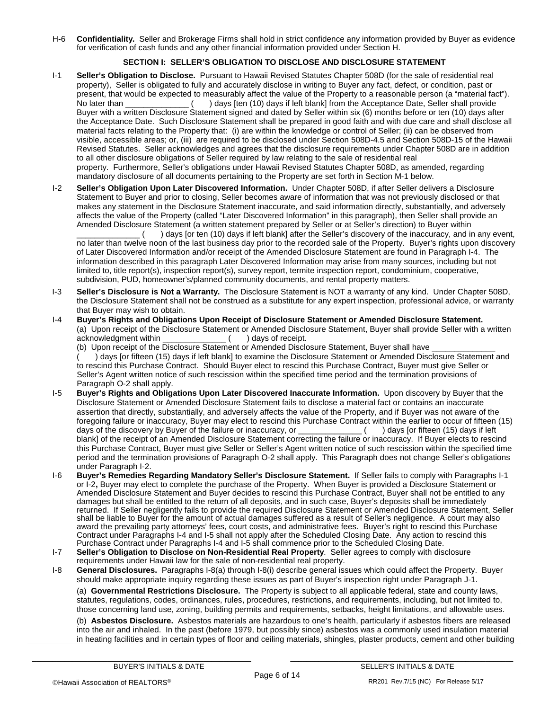H-6 **Confidentiality.** Seller and Brokerage Firms shall hold in strict confidence any information provided by Buyer as evidence for verification of cash funds and any other financial information provided under Section H.

# **SECTION I: SELLER'S OBLIGATION TO DISCLOSE AND DISCLOSURE STATEMENT**

- I-1 **Seller's Obligation to Disclose.** Pursuant to Hawaii Revised Statutes Chapter 508D (for the sale of residential real property), Seller is obligated to fully and accurately disclose in writing to Buyer any fact, defect, or condition, past or present, that would be expected to measurably affect the value of the Property to a reasonable person (a "material fact").<br>No later than (10) days it left blank from the Acceptance Date. Seller shall provide  $\sim$  ) days [ten (10) days if left blank] from the Acceptance Date, Seller shall provide Buyer with a written Disclosure Statement signed and dated by Seller within six (6) months before or ten (10) days after the Acceptance Date. Such Disclosure Statement shall be prepared in good faith and with due care and shall disclose all material facts relating to the Property that: (i) are within the knowledge or control of Seller; (ii) can be observed from visible, accessible areas; or, (iii) are required to be disclosed under Section 508D-4.5 and Section 508D-15 of the Hawaii Revised Statutes. Seller acknowledges and agrees that the disclosure requirements under Chapter 508D are in addition to all other disclosure obligations of Seller required by law relating to the sale of residential real property. Furthermore, Seller's obligations under Hawaii Revised Statutes Chapter 508D, as amended, regarding mandatory disclosure of all documents pertaining to the Property are set forth in Section M-1 below.
- I-2 **Seller's Obligation Upon Later Discovered Information.** Under Chapter 508D, if after Seller delivers a Disclosure Statement to Buyer and prior to closing, Seller becomes aware of information that was not previously disclosed or that makes any statement in the Disclosure Statement inaccurate, and said information directly, substantially, and adversely affects the value of the Property (called "Later Discovered Information" in this paragraph), then Seller shall provide an Amended Disclosure Statement (a written statement prepared by Seller or at Seller's direction) to Buyer within

) days [or ten (10) days if left blank] after the Seller's discovery of the inaccuracy, and in any event, no later than twelve noon of the last business day prior to the recorded sale of the Property. Buyer's rights upon discovery of Later Discovered Information and/or receipt of the Amended Disclosure Statement are found in Paragraph I-4. The information described in this paragraph Later Discovered Information may arise from many sources, including but not limited to, title report(s), inspection report(s), survey report, termite inspection report, condominium, cooperative, subdivision, PUD, homeowner's/planned community documents, and rental property matters.

- I-3 **Seller's Disclosure is Not a Warranty.** The Disclosure Statement is NOT a warranty of any kind. Under Chapter 508D, the Disclosure Statement shall not be construed as a substitute for any expert inspection, professional advice, or warranty that Buyer may wish to obtain.
- I-4 **Buyer's Rights and Obligations Upon Receipt of Disclosure Statement or Amended Disclosure Statement.**  (a) Upon receipt of the Disclosure Statement or Amended Disclosure Statement, Buyer shall provide Seller with a written acknowledgment within \_\_\_\_\_\_\_\_\_\_\_\_\_\_ ( ) days of receipt.
	- (b) Upon receipt of the Disclosure Statement or Amended Disclosure Statement, Buyer shall have ) days [or fifteen (15) days if left blank] to examine the Disclosure Statement or Amended Disclosure Statement and to rescind this Purchase Contract. Should Buyer elect to rescind this Purchase Contract, Buyer must give Seller or
	- Seller's Agent written notice of such rescission within the specified time period and the termination provisions of Paragraph O-2 shall apply.
- I-5 **Buyer's Rights and Obligations Upon Later Discovered Inaccurate Information.** Upon discovery by Buyer that the Disclosure Statement or Amended Disclosure Statement fails to disclose a material fact or contains an inaccurate assertion that directly, substantially, and adversely affects the value of the Property, and if Buyer was not aware of the foregoing failure or inaccuracy, Buyer may elect to rescind this Purchase Contract within the earlier to occur of fifteen (15) days of the discovery by Buyer of the failure or inaccuracy, or () days [or fifteen (15) days i days of the discovery by Buyer of the failure or inaccuracy, or **with the days if the discovery** by Buyer of the failure or inaccuracy, or blank] of the receipt of an Amended Disclosure Statement correcting the failure or inaccuracy. If Buyer elects to rescind this Purchase Contract, Buyer must give Seller or Seller's Agent written notice of such rescission within the specified time period and the termination provisions of Paragraph O-2 shall apply. This Paragraph does not change Seller's obligations under Paragraph I-2.
- I-6 **Buyer's Remedies Regarding Mandatory Seller's Disclosure Statement.** If Seller fails to comply with Paragraphs I-1 or I-2**,** Buyer may elect to complete the purchase of the Property. When Buyer is provided a Disclosure Statement or Amended Disclosure Statement and Buyer decides to rescind this Purchase Contract, Buyer shall not be entitled to any damages but shall be entitled to the return of all deposits, and in such case, Buyer's deposits shall be immediately returned. If Seller negligently fails to provide the required Disclosure Statement or Amended Disclosure Statement, Seller shall be liable to Buyer for the amount of actual damages suffered as a result of Seller's negligence. A court may also award the prevailing party attorneys' fees, court costs, and administrative fees. Buyer's right to rescind this Purchase Contract under Paragraphs I-4 and I-5 shall not apply after the Scheduled Closing Date. Any action to rescind this Purchase Contract under Paragraphs I-4 and I-5 shall commence prior to the Scheduled Closing Date.
- I-7 **Seller's Obligation to Disclose on Non-Residential Real Property**. Seller agrees to comply with disclosure requirements under Hawaii law for the sale of non-residential real property.
- I-8 **General Disclosures.** Paragraphs I-8(a) through I-8(i) describe general issues which could affect the Property. Buyer should make appropriate inquiry regarding these issues as part of Buyer's inspection right under Paragraph J-1.

(a) **Governmental Restrictions Disclosure.** The Property is subject to all applicable federal, state and county laws, statutes, regulations, codes, ordinances, rules, procedures, restrictions, and requirements, including, but not limited to, those concerning land use, zoning, building permits and requirements, setbacks, height limitations, and allowable uses.

(b) **Asbestos Disclosure.** Asbestos materials are hazardous to one's health, particularly if asbestos fibers are released into the air and inhaled. In the past (before 1979, but possibly since) asbestos was a commonly used insulation material in heating facilities and in certain types of floor and ceiling materials, shingles, plaster products, cement and other building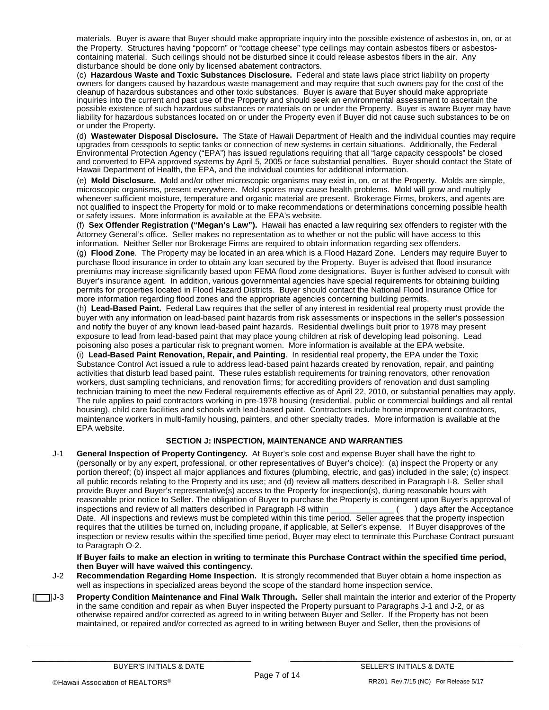materials. Buyer is aware that Buyer should make appropriate inquiry into the possible existence of asbestos in, on, or at the Property. Structures having "popcorn" or "cottage cheese" type ceilings may contain asbestos fibers or asbestoscontaining material. Such ceilings should not be disturbed since it could release asbestos fibers in the air. Any disturbance should be done only by licensed abatement contractors.

(c) **Hazardous Waste and Toxic Substances Disclosure.** Federal and state laws place strict liability on property owners for dangers caused by hazardous waste management and may require that such owners pay for the cost of the cleanup of hazardous substances and other toxic substances. Buyer is aware that Buyer should make appropriate inquiries into the current and past use of the Property and should seek an environmental assessment to ascertain the possible existence of such hazardous substances or materials on or under the Property. Buyer is aware Buyer may have liability for hazardous substances located on or under the Property even if Buyer did not cause such substances to be on or under the Property.

(d) **Wastewater Disposal Disclosure.** The State of Hawaii Department of Health and the individual counties may require upgrades from cesspools to septic tanks or connection of new systems in certain situations. Additionally, the Federal Environmental Protection Agency ("EPA") has issued regulations requiring that all "large capacity cesspools" be closed and converted to EPA approved systems by April 5, 2005 or face substantial penalties. Buyer should contact the State of Hawaii Department of Health, the EPA, and the individual counties for additional information.

(e) **Mold Disclosure.** Mold and/or other microscopic organisms may exist in, on, or at the Property. Molds are simple, microscopic organisms, present everywhere. Mold spores may cause health problems. Mold will grow and multiply whenever sufficient moisture, temperature and organic material are present. Brokerage Firms, brokers, and agents are not qualified to inspect the Property for mold or to make recommendations or determinations concerning possible health or safety issues. More information is available at the EPA's website.

(f) **Sex Offender Registration ("Megan's Law").** Hawaii has enacted a law requiring sex offenders to register with the Attorney General's office. Seller makes no representation as to whether or not the public will have access to this information. Neither Seller nor Brokerage Firms are required to obtain information regarding sex offenders.

(g) **Flood Zone**. The Property may be located in an area which is a Flood Hazard Zone. Lenders may require Buyer to purchase flood insurance in order to obtain any loan secured by the Property. Buyer is advised that flood insurance premiums may increase significantly based upon FEMA flood zone designations. Buyer is further advised to consult with Buyer's insurance agent. In addition, various governmental agencies have special requirements for obtaining building permits for properties located in Flood Hazard Districts. Buyer should contact the National Flood Insurance Office for more information regarding flood zones and the appropriate agencies concerning building permits.

(h) **Lead-Based Paint.** Federal Law requires that the seller of any interest in residential real property must provide the buyer with any information on lead-based paint hazards from risk assessments or inspections in the seller's possession and notify the buyer of any known lead-based paint hazards. Residential dwellings built prior to 1978 may present exposure to lead from lead-based paint that may place young children at risk of developing lead poisoning. Lead poisoning also poses a particular risk to pregnant women. More information is available at the EPA website. (i) **Lead-Based Paint Renovation, Repair, and Painting**. In residential real property, the EPA under the Toxic Substance Control Act issued a rule to address lead-based paint hazards created by renovation, repair, and painting activities that disturb lead based paint. These rules establish requirements for training renovators, other renovation workers, dust sampling technicians, and renovation firms; for accrediting providers of renovation and dust sampling technician training to meet the new Federal requirements effective as of April 22, 2010, or substantial penalties may apply. The rule applies to paid contractors working in pre-1978 housing (residential, public or commercial buildings and all rental housing), child care facilities and schools with lead-based paint. Contractors include home improvement contractors, maintenance workers in multi-family housing, painters, and other specialty trades. More information is available at the EPA website.

# **SECTION J: INSPECTION, MAINTENANCE AND WARRANTIES**

J-1 **General Inspection of Property Contingency.** At Buyer's sole cost and expense Buyer shall have the right to (personally or by any expert, professional, or other representatives of Buyer's choice): (a) inspect the Property or any portion thereof; (b) inspect all major appliances and fixtures (plumbing, electric, and gas) included in the sale; (c) inspect all public records relating to the Property and its use; and (d) review all matters described in Paragraph I-8. Seller shall provide Buyer and Buyer's representative(s) access to the Property for inspection(s), during reasonable hours with reasonable prior notice to Seller. The obligation of Buyer to purchase the Property is contingent upon Buyer's approval of<br>inspections and review of all matters described in Paragraph I-8 within (except ance ) days after t inspections and review of all matters described in Paragraph I-8 within \_\_\_\_\_\_\_\_\_\_\_\_\_\_\_ ( Date. All inspections and reviews must be completed within this time period. Seller agrees that the property inspection requires that the utilities be turned on, including propane, if applicable, at Seller's expense. If Buyer disapproves of the inspection or review results within the specified time period, Buyer may elect to terminate this Purchase Contract pursuant to Paragraph O-2.

**If Buyer fails to make an election in writing to terminate this Purchase Contract within the specified time period, then Buyer will have waived this contingency.**

- J-2 **Recommendation Regarding Home Inspection.** It is strongly recommended that Buyer obtain a home inspection as well as inspections in specialized areas beyond the scope of the standard home inspection service.
- [ ]J-3 **Property Condition Maintenance and Final Walk Through.** Seller shall maintain the interior and exterior of the Property in the same condition and repair as when Buyer inspected the Property pursuant to Paragraphs J-1 and J-2, or as otherwise repaired and/or corrected as agreed to in writing between Buyer and Seller. If the Property has not been maintained, or repaired and/or corrected as agreed to in writing between Buyer and Seller, then the provisions of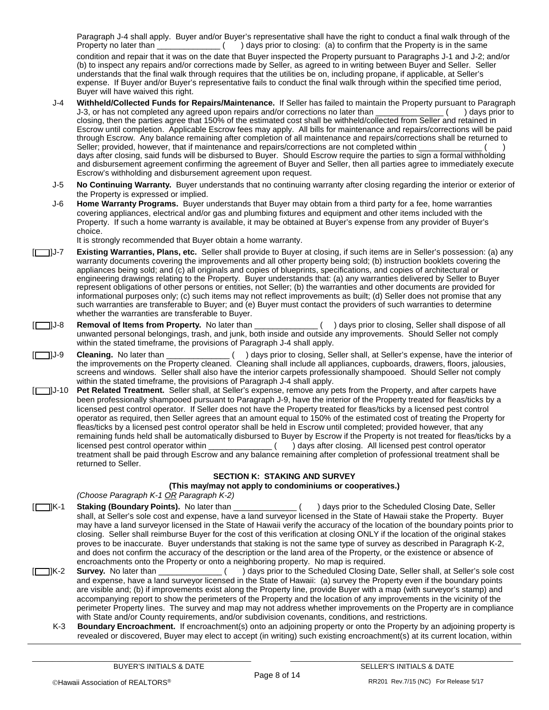Paragraph J-4 shall apply. Buyer and/or Buyer's representative shall have the right to conduct a final walk through of the Property is in the same<br>Property no later than \_\_\_\_\_\_\_\_\_\_\_\_\_\_\_\_\_\_\_\_() days prior to closing: (a) to  $_$  ( ) days prior to closing: (a) to confirm that the Property is in the same condition and repair that it was on the date that Buyer inspected the Property pursuant to Paragraphs J-1 and J-2; and/or (b) to inspect any repairs and/or corrections made by Seller, as agreed to in writing between Buyer and Seller. Seller understands that the final walk through requires that the utilities be on, including propane, if applicable, at Seller's expense. If Buyer and/or Buyer's representative fails to conduct the final walk through within the specified time period, Buyer will have waived this right.

- J-4 **Withheld/Collected Funds for Repairs/Maintenance.** If Seller has failed to maintain the Property pursuant to Paragraph J-3, or has not completed any agreed upon repairs and/or corrections no later than closing, then the parties agree that 150% of the estimated cost shall be withheld/collected from Seller and retained in Escrow until completion. Applicable Escrow fees may apply. All bills for maintenance and repairs/corrections will be paid through Escrow. Any balance remaining after completion of all maintenance and repairs/corrections shall be returned to Seller; provided, however, that if maintenance and repairs/corrections are not completed within days after closing, said funds will be disbursed to Buyer. Should Escrow require the parties to sign a formal withholding and disbursement agreement confirming the agreement of Buyer and Seller, then all parties agree to immediately execute Escrow's withholding and disbursement agreement upon request.
- J-5 **No Continuing Warranty.** Buyer understands that no continuing warranty after closing regarding the interior or exterior of the Property is expressed or implied.
- J-6 **Home Warranty Programs.** Buyer understands that Buyer may obtain from a third party for a fee, home warranties covering appliances, electrical and/or gas and plumbing fixtures and equipment and other items included with the Property. If such a home warranty is available, it may be obtained at Buyer's expense from any provider of Buyer's choice.

It is strongly recommended that Buyer obtain a home warranty.

- [ ]J-7 **Existing Warranties, Plans, etc.** Seller shall provide to Buyer at closing, if such items are in Seller's possession: (a) any warranty documents covering the improvements and all other property being sold; (b) instruction booklets covering the appliances being sold; and (c) all originals and copies of blueprints, specifications, and copies of architectural or engineering drawings relating to the Property. Buyer understands that: (a) any warranties delivered by Seller to Buyer represent obligations of other persons or entities, not Seller; (b) the warranties and other documents are provided for informational purposes only; (c) such items may not reflect improvements as built; (d) Seller does not promise that any such warranties are transferable to Buyer; and (e) Buyer must contact the providers of such warranties to determine whether the warranties are transferable to Buyer.
- [ ]J-8 **Removal of Items from Property.** No later than \_\_\_\_\_\_\_\_\_\_\_\_\_\_ ( ) days prior to closing, Seller shall dispose of all unwanted personal belongings, trash, and junk, both inside and outside any improvements. Should Seller not comply within the stated timeframe, the provisions of Paragraph J-4 shall apply.
- [ ]J-9 **Cleaning.** No later than \_\_\_\_\_\_\_\_\_\_\_\_\_\_ ( ) days prior to closing, Seller shall, at Seller's expense, have the interior of the improvements on the Property cleaned. Cleaning shall include all appliances, cupboards, drawers, floors, jalousies, screens and windows. Seller shall also have the interior carpets professionally shampooed. Should Seller not comply within the stated timeframe, the provisions of Paragraph J-4 shall apply.
- [<sup>1</sup>]J-10 **Pet Related Treatment.** Seller shall, at Seller's expense, remove any pets from the Property, and after carpets have been professionally shampooed pursuant to Paragraph J-9, have the interior of the Property treated for fleas/ticks by a licensed pest control operator. If Seller does not have the Property treated for fleas/ticks by a licensed pest control operator as required, then Seller agrees that an amount equal to 150% of the estimated cost of treating the Property for fleas/ticks by a licensed pest control operator shall be held in Escrow until completed; provided however, that any remaining funds held shall be automatically disbursed to Buyer by Escrow if the Property is not treated for fleas/ticks by a<br>licensed pest control operator within () davs after closing. All licensed pest control operator  $\lfloor$  ( ) days after closing. All licensed pest control operator treatment shall be paid through Escrow and any balance remaining after completion of professional treatment shall be returned to Seller.

# **SECTION K: STAKING AND SURVEY**

# **(This may/may not apply to condominiums or cooperatives.)**

*(Choose Paragraph K-1 OR Paragraph K-2)*

- [ ]K-1 **Staking (Boundary Points).** No later than \_\_\_\_\_\_\_\_\_\_\_\_\_\_ ( ) days prior to the Scheduled Closing Date, Seller shall, at Seller's sole cost and expense, have a land surveyor licensed in the State of Hawaii stake the Property. Buyer may have a land surveyor licensed in the State of Hawaii verify the accuracy of the location of the boundary points prior to closing. Seller shall reimburse Buyer for the cost of this verification at closing ONLY if the location of the original stakes proves to be inaccurate. Buyer understands that staking is not the same type of survey as described in Paragraph K-2, and does not confirm the accuracy of the description or the land area of the Property, or the existence or absence of encroachments onto the Property or onto a neighboring property. No map is required.
- [ ]K-2 **Survey.** No later than \_\_\_\_\_\_\_\_\_\_\_\_\_\_ ( ) days prior to the Scheduled Closing Date, Seller shall, at Seller's sole cost and expense, have a land surveyor licensed in the State of Hawaii: (a) survey the Property even if the boundary points are visible and; (b) if improvements exist along the Property line, provide Buyer with a map (with surveyor's stamp) and accompanying report to show the perimeters of the Property and the location of any improvements in the vicinity of the perimeter Property lines. The survey and map may not address whether improvements on the Property are in compliance with State and/or County requirements, and/or subdivision covenants, conditions, and restrictions.
	- K-3 **Boundary Encroachment.** If encroachment(s) onto an adjoining property or onto the Property by an adjoining property is revealed or discovered, Buyer may elect to accept (in writing) such existing encroachment(s) at its current location, within

\_\_\_\_\_\_\_\_\_\_\_\_\_\_\_\_\_\_\_\_\_\_\_\_\_\_\_\_\_\_\_\_\_\_\_\_\_\_\_\_\_\_\_\_\_\_\_\_\_\_\_\_\_\_\_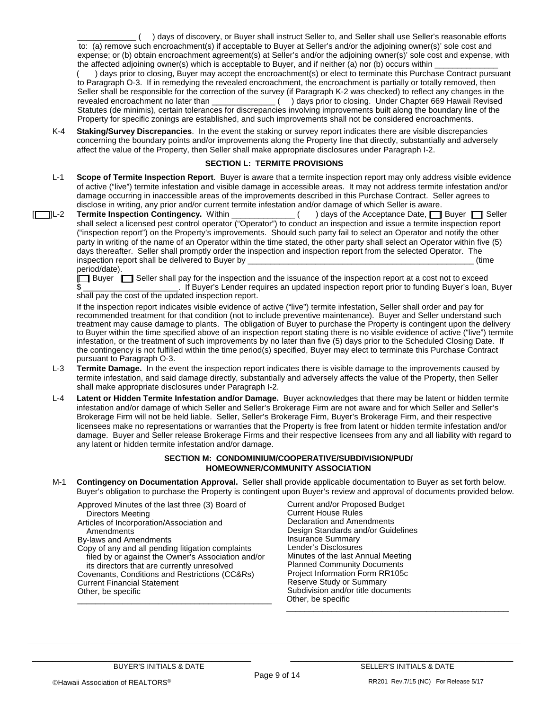\_\_\_\_\_\_\_\_\_\_\_\_\_ ( ) days of discovery, or Buyer shall instruct Seller to, and Seller shall use Seller's reasonable efforts to: (a) remove such encroachment(s) if acceptable to Buyer at Seller's and/or the adjoining owner(s)' sole cost and expense; or (b) obtain encroachment agreement(s) at Seller's and/or the adjoining owner(s)' sole cost and expense, with the affected adjoining owner(s) which is acceptable to Buyer, and if neither (a) nor (b) occurs within

( ) days prior to closing, Buyer may accept the encroachment(s) or elect to terminate this Purchase Contract pursuant to Paragraph O-3. If in remedying the revealed encroachment, the encroachment is partially or totally removed, then Seller shall be responsible for the correction of the survey (if Paragraph K-2 was checked) to reflect any changes in the revealed encroachment no later than () days prior to closing. Under Chapter 669 Hawaii Revised  $r = ($  ) days prior to closing. Under Chapter 669 Hawaii Revised Statutes (de minimis), certain tolerances for discrepancies involving improvements built along the boundary line of the Property for specific zonings are established, and such improvements shall not be considered encroachments.

K-4 **Staking/Survey Discrepancies**. In the event the staking or survey report indicates there are visible discrepancies concerning the boundary points and/or improvements along the Property line that directly, substantially and adversely affect the value of the Property, then Seller shall make appropriate disclosures under Paragraph I-2.

# **SECTION L: TERMITE PROVISIONS**

- L-1 **Scope of Termite Inspection Report**. Buyer is aware that a termite inspection report may only address visible evidence of active ("live") termite infestation and visible damage in accessible areas. It may not address termite infestation and/or damage occurring in inaccessible areas of the improvements described in this Purchase Contract. Seller agrees to disclose in writing, any prior and/or current termite infestation and/or damage of which Seller is aware.
- [ ]L-2 **Termite Inspection Contingency.** Within \_\_\_\_\_\_\_\_\_\_\_\_\_\_ ( ) days of the Acceptance Date, [ ] Buyer [ ] Seller shall select a licensed pest control operator ("Operator") to conduct an inspection and issue a termite inspection report ("inspection report") on the Property's improvements. Should such party fail to select an Operator and notify the other party in writing of the name of an Operator within the time stated, the other party shall select an Operator within five (5) days thereafter. Seller shall promptly order the inspection and inspection report from the selected Operator. The inspection report shall be delivered to Buyer by \_\_\_\_\_\_\_\_\_\_\_\_\_\_\_\_\_\_\_\_\_\_\_\_\_\_\_\_\_\_\_\_\_\_\_\_\_\_\_\_\_\_\_\_\_\_\_\_\_\_ (time period/date).

 $\Box$  Buyer  $\Box$  Seller shall pay for the inspection and the issuance of the inspection report at a cost not to exceed If Buyer's Lender requires an updated inspection report prior to funding Buyer's loan, Buyer shall pay the cost of the updated inspection report.

If the inspection report indicates visible evidence of active ("live") termite infestation, Seller shall order and pay for recommended treatment for that condition (not to include preventive maintenance). Buyer and Seller understand such treatment may cause damage to plants. The obligation of Buyer to purchase the Property is contingent upon the delivery to Buyer within the time specified above of an inspection report stating there is no visible evidence of active ("live") termite infestation, or the treatment of such improvements by no later than five (5) days prior to the Scheduled Closing Date. If the contingency is not fulfilled within the time period(s) specified, Buyer may elect to terminate this Purchase Contract pursuant to Paragraph O-3.

- L-3 **Termite Damage.** In the event the inspection report indicates there is visible damage to the improvements caused by termite infestation, and said damage directly, substantially and adversely affects the value of the Property, then Seller shall make appropriate disclosures under Paragraph I-2.
- L-4 **Latent or Hidden Termite Infestation and/or Damage.** Buyer acknowledges that there may be latent or hidden termite infestation and/or damage of which Seller and Seller's Brokerage Firm are not aware and for which Seller and Seller's Brokerage Firm will not be held liable. Seller, Seller's Brokerage Firm, Buyer's Brokerage Firm, and their respective licensees make no representations or warranties that the Property is free from latent or hidden termite infestation and/or damage. Buyer and Seller release Brokerage Firms and their respective licensees from any and all liability with regard to any latent or hidden termite infestation and/or damage.

# **SECTION M: CONDOMINIUM/COOPERATIVE/SUBDIVISION/PUD/ HOMEOWNER/COMMUNITY ASSOCIATION**

M-1 **Contingency on Documentation Approval.** Seller shall provide applicable documentation to Buyer as set forth below. Buyer's obligation to purchase the Property is contingent upon Buyer's review and approval of documents provided below.

| Approved Minutes of the last three (3) Board of<br>Directors Meeting                                                                                                                                                                                                                           |  |
|------------------------------------------------------------------------------------------------------------------------------------------------------------------------------------------------------------------------------------------------------------------------------------------------|--|
| Articles of Incorporation/Association and<br>Amendments                                                                                                                                                                                                                                        |  |
| By-laws and Amendments<br>Copy of any and all pending litigation complaints<br>filed by or against the Owner's Association and/or<br>its directors that are currently unresolved<br>Covenants, Conditions and Restrictions (CC&Rs)<br><b>Current Financial Statement</b><br>Other, be specific |  |
|                                                                                                                                                                                                                                                                                                |  |

Current and/or Proposed Budget Current House Rules Declaration and Amendments Design Standards and/or Guidelines Insurance Summary Lender's Disclosures Minutes of the last Annual Meeting Planned Community Documents Project Information Form RR105c Reserve Study or Summary Subdivision and/or title documents Other, be specific \_\_\_\_\_\_\_\_\_\_\_\_\_\_\_\_\_\_\_\_\_\_\_\_\_\_\_\_\_\_\_\_\_\_\_\_\_\_\_\_\_\_\_\_\_\_\_\_\_\_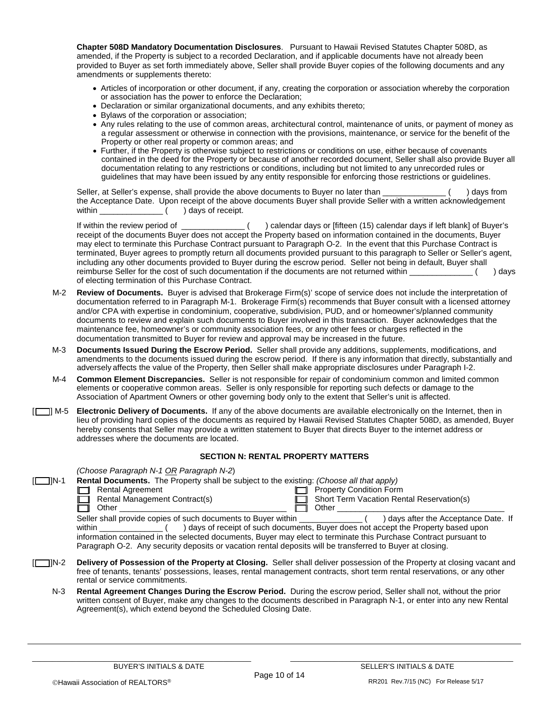**Chapter 508D Mandatory Documentation Disclosures**. Pursuant to Hawaii Revised Statutes Chapter 508D, as amended, if the Property is subject to a recorded Declaration, and if applicable documents have not already been provided to Buyer as set forth immediately above, Seller shall provide Buyer copies of the following documents and any amendments or supplements thereto:

- Articles of incorporation or other document, if any, creating the corporation or association whereby the corporation or association has the power to enforce the Declaration;
- Declaration or similar organizational documents, and any exhibits thereto;
- Bylaws of the corporation or association;
- Any rules relating to the use of common areas, architectural control, maintenance of units, or payment of money as a regular assessment or otherwise in connection with the provisions, maintenance, or service for the benefit of the Property or other real property or common areas; and
- Further, if the Property is otherwise subject to restrictions or conditions on use, either because of covenants contained in the deed for the Property or because of another recorded document, Seller shall also provide Buyer all documentation relating to any restrictions or conditions, including but not limited to any unrecorded rules or guidelines that may have been issued by any entity responsible for enforcing those restrictions or guidelines.

Seller, at Seller's expense, shall provide the above documents to Buyer no later than \_\_\_\_\_\_\_\_\_\_\_\_\_\_\_\_\_\_\_\_\_\_\_ ( ) days from the Acceptance Date. Upon receipt of the above documents Buyer shall provide Seller with a written acknowledgement within  $($ ) days of receipt.

If within the review period of \_\_\_\_\_\_\_\_\_\_\_\_\_\_ ( ) calendar days or [fifteen (15) calendar days if left blank] of Buyer's receipt of the documents Buyer does not accept the Property based on information contained in the documents, Buyer may elect to terminate this Purchase Contract pursuant to Paragraph O-2. In the event that this Purchase Contract is terminated, Buyer agrees to promptly return all documents provided pursuant to this paragraph to Seller or Seller's agent, including any other documents provided to Buyer during the escrow period. Seller not being in default, Buyer shall reimburse Seller for the cost of such documentation if the documents are not returned within \_\_\_\_\_\_\_\_\_\_\_\_\_\_ () days of electing termination of this Purchase Contract.

- M-2 **Review of Documents.** Buyer is advised that Brokerage Firm(s)' scope of service does not include the interpretation of documentation referred to in Paragraph M-1. Brokerage Firm(s) recommends that Buyer consult with a licensed attorney and/or CPA with expertise in condominium, cooperative, subdivision, PUD, and or homeowner's/planned community documents to review and explain such documents to Buyer involved in this transaction. Buyer acknowledges that the maintenance fee, homeowner's or community association fees, or any other fees or charges reflected in the documentation transmitted to Buyer for review and approval may be increased in the future.
- M-3 **Documents Issued During the Escrow Period.** Seller shall provide any additions, supplements, modifications, and amendments to the documents issued during the escrow period. If there is any information that directly, substantially and adversely affects the value of the Property, then Seller shall make appropriate disclosures under Paragraph I-2.
- M-4 **Common Element Discrepancies.** Seller is not responsible for repair of condominium common and limited common elements or cooperative common areas. Seller is only responsible for reporting such defects or damage to the Association of Apartment Owners or other governing body only to the extent that Seller's unit is affected.
- [ ] M-5 **Electronic Delivery of Documents.** If any of the above documents are available electronically on the Internet, then in lieu of providing hard copies of the documents as required by Hawaii Revised Statutes Chapter 508D, as amended, Buyer hereby consents that Seller may provide a written statement to Buyer that directs Buyer to the internet address or addresses where the documents are located.

### **SECTION N: RENTAL PROPERTY MATTERS**

| II IIN-1 | (Choose Paragraph N-1 OR Paragraph N-2)<br>Rental Documents. The Property shall be subject to the existing: (Choose all that apply)                                                                                                                                                                                            |                                                                                                                          |  |  |  |  |
|----------|--------------------------------------------------------------------------------------------------------------------------------------------------------------------------------------------------------------------------------------------------------------------------------------------------------------------------------|--------------------------------------------------------------------------------------------------------------------------|--|--|--|--|
|          | <b>Rental Agreement</b>                                                                                                                                                                                                                                                                                                        | <b>Property Condition Form</b>                                                                                           |  |  |  |  |
|          | Rental Management Contract(s)                                                                                                                                                                                                                                                                                                  | Short Term Vacation Rental Reservation(s)                                                                                |  |  |  |  |
|          | Other the contract of the contract of the contract of the contract of the contract of the contract of the contract of the contract of the contract of the contract of the contract of the contract of the contract of the cont                                                                                                 | Other                                                                                                                    |  |  |  |  |
|          | Seller shall provide copies of such documents to Buyer within ___________________<br>within (<br>information contained in the selected documents, Buyer may elect to terminate this Purchase Contract pursuant to<br>Paragraph O-2. Any security deposits or vacation rental deposits will be transferred to Buyer at closing. | days after the Acceptance Date. If<br>) days of receipt of such documents, Buyer does not accept the Property based upon |  |  |  |  |
| 11N-2    | Delivery of Possession of the Property at Closing. Seller shall deliver possession of the Property at closing vacant and<br>free of tenants, tenants' possessions, leases, rental management contracts, short term rental reservations, or any other<br>rental or service commitments.                                         |                                                                                                                          |  |  |  |  |

N-3 **Rental Agreement Changes During the Escrow Period.** During the escrow period, Seller shall not, without the prior written consent of Buyer, make any changes to the documents described in Paragraph N-1, or enter into any new Rental Agreement(s), which extend beyond the Scheduled Closing Date.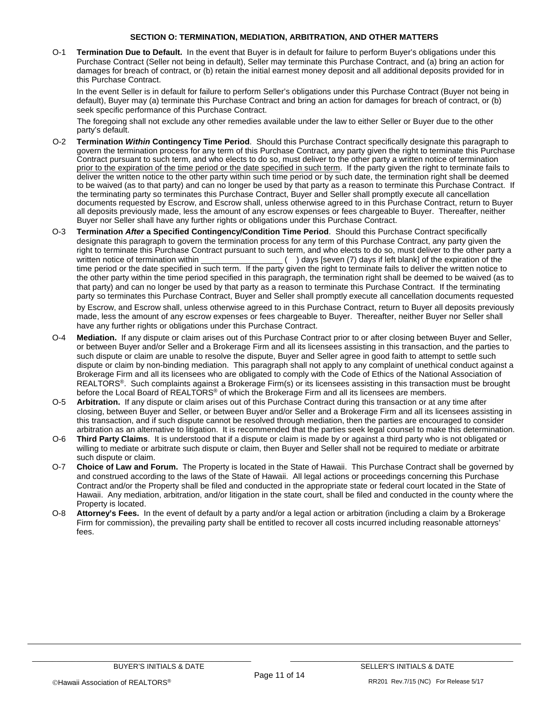## **SECTION O: TERMINATION, MEDIATION, ARBITRATION, AND OTHER MATTERS**

O-1 **Termination Due to Default.** In the event that Buyer is in default for failure to perform Buyer's obligations under this Purchase Contract (Seller not being in default), Seller may terminate this Purchase Contract, and (a) bring an action for damages for breach of contract, or (b) retain the initial earnest money deposit and all additional deposits provided for in this Purchase Contract.

In the event Seller is in default for failure to perform Seller's obligations under this Purchase Contract (Buyer not being in default), Buyer may (a) terminate this Purchase Contract and bring an action for damages for breach of contract, or (b) seek specific performance of this Purchase Contract.

The foregoing shall not exclude any other remedies available under the law to either Seller or Buyer due to the other party's default.

- O-2 **Termination** *Within* **Contingency Time Period**. Should this Purchase Contract specifically designate this paragraph to govern the termination process for any term of this Purchase Contract, any party given the right to terminate this Purchase Contract pursuant to such term, and who elects to do so, must deliver to the other party a written notice of termination prior to the expiration of the time period or the date specified in such term. If the party given the right to terminate fails to deliver the written notice to the other party within such time period or by such date, the termination right shall be deemed to be waived (as to that party) and can no longer be used by that party as a reason to terminate this Purchase Contract. If the terminating party so terminates this Purchase Contract, Buyer and Seller shall promptly execute all cancellation documents requested by Escrow, and Escrow shall, unless otherwise agreed to in this Purchase Contract, return to Buyer all deposits previously made, less the amount of any escrow expenses or fees chargeable to Buyer. Thereafter, neither Buyer nor Seller shall have any further rights or obligations under this Purchase Contract.
- O-3 **Termination** *After* **a Specified Contingency/Condition Time Period**. Should this Purchase Contract specifically designate this paragraph to govern the termination process for any term of this Purchase Contract, any party given the right to terminate this Purchase Contract pursuant to such term, and who elects to do so, must deliver to the other party a written notice of termination within \_\_\_\_\_\_\_\_\_\_\_\_\_\_\_\_\_\_ ( ) days [seven (7) days if left blank] of the expiration of the time period or the date specified in such term. If the party given the right to terminate fails to deliver the written notice to the other party within the time period specified in this paragraph, the termination right shall be deemed to be waived (as to that party) and can no longer be used by that party as a reason to terminate this Purchase Contract. If the terminating party so terminates this Purchase Contract, Buyer and Seller shall promptly execute all cancellation documents requested

by Escrow, and Escrow shall, unless otherwise agreed to in this Purchase Contract, return to Buyer all deposits previously made, less the amount of any escrow expenses or fees chargeable to Buyer. Thereafter, neither Buyer nor Seller shall have any further rights or obligations under this Purchase Contract.

- O-4 **Mediation.** If any dispute or claim arises out of this Purchase Contract prior to or after closing between Buyer and Seller, or between Buyer and/or Seller and a Brokerage Firm and all its licensees assisting in this transaction, and the parties to such dispute or claim are unable to resolve the dispute, Buyer and Seller agree in good faith to attempt to settle such dispute or claim by non-binding mediation. This paragraph shall not apply to any complaint of unethical conduct against a Brokerage Firm and all its licensees who are obligated to comply with the Code of Ethics of the National Association of REALTORS®. Such complaints against a Brokerage Firm(s) or its licensees assisting in this transaction must be brought before the Local Board of REALTORS<sup>®</sup> of which the Brokerage Firm and all its licensees are members.
- O-5 **Arbitration.** If any dispute or claim arises out of this Purchase Contract during this transaction or at any time after closing, between Buyer and Seller, or between Buyer and/or Seller and a Brokerage Firm and all its licensees assisting in this transaction, and if such dispute cannot be resolved through mediation, then the parties are encouraged to consider arbitration as an alternative to litigation. It is recommended that the parties seek legal counsel to make this determination.
- O-6 **Third Party Claims**. It is understood that if a dispute or claim is made by or against a third party who is not obligated or willing to mediate or arbitrate such dispute or claim, then Buyer and Seller shall not be required to mediate or arbitrate such dispute or claim.
- O-7 **Choice of Law and Forum.** The Property is located in the State of Hawaii. This Purchase Contract shall be governed by and construed according to the laws of the State of Hawaii. All legal actions or proceedings concerning this Purchase Contract and/or the Property shall be filed and conducted in the appropriate state or federal court located in the State of Hawaii. Any mediation, arbitration, and/or litigation in the state court, shall be filed and conducted in the county where the Property is located.
- O-8 **Attorney's Fees.** In the event of default by a party and/or a legal action or arbitration (including a claim by a Brokerage Firm for commission), the prevailing party shall be entitled to recover all costs incurred including reasonable attorneys' fees.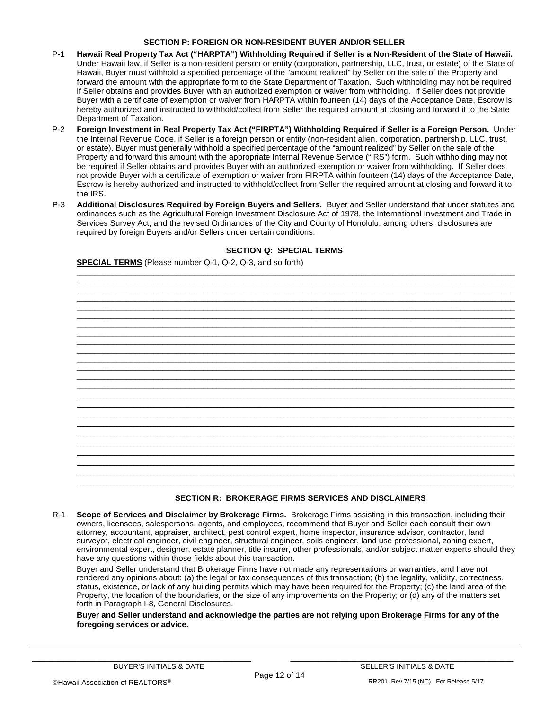### **SECTION P: FOREIGN OR NON-RESIDENT BUYER AND/OR SELLER**

- P-1 **Hawaii Real Property Tax Act ("HARPTA") Withholding Required if Seller is a Non-Resident of the State of Hawaii.**  Under Hawaii law, if Seller is a non-resident person or entity (corporation, partnership, LLC, trust, or estate) of the State of Hawaii, Buyer must withhold a specified percentage of the "amount realized" by Seller on the sale of the Property and forward the amount with the appropriate form to the State Department of Taxation. Such withholding may not be required if Seller obtains and provides Buyer with an authorized exemption or waiver from withholding. If Seller does not provide Buyer with a certificate of exemption or waiver from HARPTA within fourteen (14) days of the Acceptance Date, Escrow is hereby authorized and instructed to withhold/collect from Seller the required amount at closing and forward it to the State Department of Taxation.
- P-2 **Foreign Investment in Real Property Tax Act ("FIRPTA") Withholding Required if Seller is a Foreign Person.** Under the Internal Revenue Code, if Seller is a foreign person or entity (non-resident alien, corporation, partnership, LLC, trust, or estate), Buyer must generally withhold a specified percentage of the "amount realized" by Seller on the sale of the Property and forward this amount with the appropriate Internal Revenue Service ("IRS") form. Such withholding may not be required if Seller obtains and provides Buyer with an authorized exemption or waiver from withholding. If Seller does not provide Buyer with a certificate of exemption or waiver from FIRPTA within fourteen (14) days of the Acceptance Date, Escrow is hereby authorized and instructed to withhold/collect from Seller the required amount at closing and forward it to the IRS.
- P-3 **Additional Disclosures Required by Foreign Buyers and Sellers.** Buyer and Seller understand that under statutes and ordinances such as the Agricultural Foreign Investment Disclosure Act of 1978, the International Investment and Trade in Services Survey Act, and the revised Ordinances of the City and County of Honolulu, among others, disclosures are required by foreign Buyers and/or Sellers under certain conditions.

### **SECTION Q: SPECIAL TERMS**

\_\_\_\_\_\_\_\_\_\_\_\_\_\_\_\_\_\_\_\_\_\_\_\_\_\_\_\_\_\_\_\_\_\_\_\_\_\_\_\_\_\_\_\_\_\_\_\_\_\_\_\_\_\_\_\_\_\_\_\_\_\_\_\_\_\_\_\_\_\_\_\_\_\_\_\_\_\_\_\_\_\_\_\_\_\_\_\_\_\_\_\_\_\_\_\_\_  $\overline{\phantom{a}}$  , and the contribution of the contribution of the contribution of the contribution of the contribution of the contribution of the contribution of the contribution of the contribution of the contribution of the

 **SPECIAL TERMS** (Please number Q-1, Q-2, Q-3, and so forth)

 \_\_\_\_\_\_\_\_\_\_\_\_\_\_\_\_\_\_\_\_\_\_\_\_\_\_\_\_\_\_\_\_\_\_\_\_\_\_\_\_\_\_\_\_\_\_\_\_\_\_\_\_\_\_\_\_\_\_\_\_\_\_\_\_\_\_\_\_\_\_\_\_\_\_\_\_\_\_\_\_\_\_\_\_\_\_\_\_\_\_\_\_\_\_\_\_\_ \_\_\_\_\_\_\_\_\_\_\_\_\_\_\_\_\_\_\_\_\_\_\_\_\_\_\_\_\_\_\_\_\_\_\_\_\_\_\_\_\_\_\_\_\_\_\_\_\_\_\_\_\_\_\_\_\_\_\_\_\_\_\_\_\_\_\_\_\_\_\_\_\_\_\_\_\_\_\_\_\_\_\_\_\_\_\_\_\_\_\_\_\_\_\_\_\_  $\overline{\phantom{a}}$  , and the contribution of the contribution of the contribution of the contribution of the contribution of the contribution of the contribution of the contribution of the contribution of the contribution of the  $\overline{\phantom{a}}$  , and the contribution of the contribution of the contribution of the contribution of the contribution of the contribution of the contribution of the contribution of the contribution of the contribution of the  $\overline{\phantom{a}}$  , and the contribution of the contribution of the contribution of the contribution of the contribution of the contribution of the contribution of the contribution of the contribution of the contribution of the  $\overline{\phantom{a}}$  , and the contribution of the contribution of the contribution of the contribution of the contribution of the contribution of the contribution of the contribution of the contribution of the contribution of the  $\overline{\phantom{a}}$  , and the contribution of the contribution of the contribution of the contribution of the contribution of the contribution of the contribution of the contribution of the contribution of the contribution of the  $\overline{\phantom{a}}$  , and the contribution of the contribution of the contribution of the contribution of the contribution of the contribution of the contribution of the contribution of the contribution of the contribution of the  $\overline{\phantom{a}}$  , and the contribution of the contribution of the contribution of the contribution of the contribution of the contribution of the contribution of the contribution of the contribution of the contribution of the  $\overline{\phantom{a}}$  , and the contribution of the contribution of the contribution of the contribution of the contribution of the contribution of the contribution of the contribution of the contribution of the contribution of the \_\_\_\_\_\_\_\_\_\_\_\_\_\_\_\_\_\_\_\_\_\_\_\_\_\_\_\_\_\_\_\_\_\_\_\_\_\_\_\_\_\_\_\_\_\_\_\_\_\_\_\_\_\_\_\_\_\_\_\_\_\_\_\_\_\_\_\_\_\_\_\_\_\_\_\_\_\_\_\_\_\_\_\_\_\_\_\_\_\_\_\_\_\_\_\_\_ \_\_\_\_\_\_\_\_\_\_\_\_\_\_\_\_\_\_\_\_\_\_\_\_\_\_\_\_\_\_\_\_\_\_\_\_\_\_\_\_\_\_\_\_\_\_\_\_\_\_\_\_\_\_\_\_\_\_\_\_\_\_\_\_\_\_\_\_\_\_\_\_\_\_\_\_\_\_\_\_\_\_\_\_\_\_\_\_\_\_\_\_\_\_\_\_\_ \_\_\_\_\_\_\_\_\_\_\_\_\_\_\_\_\_\_\_\_\_\_\_\_\_\_\_\_\_\_\_\_\_\_\_\_\_\_\_\_\_\_\_\_\_\_\_\_\_\_\_\_\_\_\_\_\_\_\_\_\_\_\_\_\_\_\_\_\_\_\_\_\_\_\_\_\_\_\_\_\_\_\_\_\_\_\_\_\_\_\_\_\_\_\_\_\_\_\_\_\_\_\_\_\_\_\_\_\_\_\_\_\_\_\_\_\_\_\_\_\_\_\_\_\_\_\_\_\_\_\_ \_\_\_\_\_\_\_\_\_\_\_\_\_\_\_\_\_\_\_\_\_\_\_\_\_\_\_\_\_\_\_\_\_\_\_\_\_\_\_\_\_\_\_\_\_\_\_\_\_\_\_\_\_\_\_\_\_\_\_\_\_\_\_\_\_\_\_\_\_\_\_\_\_\_\_\_\_\_\_\_\_\_\_\_\_\_\_\_\_\_\_\_\_\_\_\_\_\_\_\_\_\_\_\_\_\_\_\_\_\_\_\_\_\_\_\_\_\_\_\_\_\_\_\_\_\_\_\_\_\_\_ \_\_\_\_\_\_\_\_\_\_\_\_\_\_\_\_\_\_\_\_\_\_\_\_\_\_\_\_\_\_\_\_\_\_\_\_\_\_\_\_\_\_\_\_\_\_\_\_\_\_\_\_\_\_\_\_\_\_\_\_\_\_\_\_\_\_\_\_\_\_\_\_\_\_\_\_\_\_\_\_\_\_\_\_\_\_\_\_\_\_\_\_\_\_\_\_\_\_\_\_\_\_\_\_\_\_\_\_\_\_\_\_\_\_\_\_\_\_\_\_\_\_\_\_\_\_\_\_\_\_\_ \_\_\_\_\_\_\_\_\_\_\_\_\_\_\_\_\_\_\_\_\_\_\_\_\_\_\_\_\_\_\_\_\_\_\_\_\_\_\_\_\_\_\_\_\_\_\_\_\_\_\_\_\_\_\_\_\_\_\_\_\_\_\_\_\_\_\_\_\_\_\_\_\_\_\_\_\_\_\_\_\_\_\_\_\_\_\_\_\_\_\_\_\_\_\_\_\_\_\_\_\_\_\_\_\_\_\_\_\_\_\_\_\_\_\_\_\_\_\_\_\_\_\_\_\_\_\_\_\_\_\_ \_\_\_\_\_\_\_\_\_\_\_\_\_\_\_\_\_\_\_\_\_\_\_\_\_\_\_\_\_\_\_\_\_\_\_\_\_\_\_\_\_\_\_\_\_\_\_\_\_\_\_\_\_\_\_\_\_\_\_\_\_\_\_\_\_\_\_\_\_\_\_\_\_\_\_\_\_\_\_\_\_\_\_\_\_\_\_\_\_\_\_\_\_\_\_\_\_\_\_\_\_\_\_\_\_\_\_\_\_\_\_\_\_\_\_\_\_\_\_\_\_\_\_\_\_\_\_\_\_\_\_ \_\_\_\_\_\_\_\_\_\_\_\_\_\_\_\_\_\_\_\_\_\_\_\_\_\_\_\_\_\_\_\_\_\_\_\_\_\_\_\_\_\_\_\_\_\_\_\_\_\_\_\_\_\_\_\_\_\_\_\_\_\_\_\_\_\_\_\_\_\_\_\_\_\_\_\_\_\_\_\_\_\_\_\_\_\_\_\_\_\_\_\_\_\_\_\_\_\_\_\_\_\_\_\_\_\_\_\_\_\_\_\_\_\_\_\_\_\_\_\_\_\_\_\_\_\_\_\_\_\_\_ \_\_\_\_\_\_\_\_\_\_\_\_\_\_\_\_\_\_\_\_\_\_\_\_\_\_\_\_\_\_\_\_\_\_\_\_\_\_\_\_\_\_\_\_\_\_\_\_\_\_\_\_\_\_\_\_\_\_\_\_\_\_\_\_\_\_\_\_\_\_\_\_\_\_\_\_\_\_\_\_\_\_\_\_\_\_\_\_\_\_\_\_\_\_\_\_\_\_\_\_\_\_\_\_\_\_\_\_\_\_\_\_\_\_\_\_\_\_\_\_\_\_\_\_\_\_\_\_\_\_\_ \_\_\_\_\_\_\_\_\_\_\_\_\_\_\_\_\_\_\_\_\_\_\_\_\_\_\_\_\_\_\_\_\_\_\_\_\_\_\_\_\_\_\_\_\_\_\_\_\_\_\_\_\_\_\_\_\_\_\_\_\_\_\_\_\_\_\_\_\_\_\_\_\_\_\_\_\_\_\_\_\_\_\_\_\_\_\_\_\_\_\_\_\_\_\_\_\_\_\_\_\_\_\_\_\_\_\_\_\_\_\_\_\_\_\_\_\_\_\_\_\_\_\_\_\_\_\_\_\_\_\_ \_\_\_\_\_\_\_\_\_\_\_\_\_\_\_\_\_\_\_\_\_\_\_\_\_\_\_\_\_\_\_\_\_\_\_\_\_\_\_\_\_\_\_\_\_\_\_\_\_\_\_\_\_\_\_\_\_\_\_\_\_\_\_\_\_\_\_\_\_\_\_\_\_\_\_\_\_\_\_\_\_\_\_\_\_\_\_\_\_\_\_\_\_\_\_\_\_\_\_\_\_\_\_\_\_\_\_\_\_\_\_\_\_\_\_\_\_\_\_\_\_\_\_\_\_\_\_\_\_\_\_ \_\_\_\_\_\_\_\_\_\_\_\_\_\_\_\_\_\_\_\_\_\_\_\_\_\_\_\_\_\_\_\_\_\_\_\_\_\_\_\_\_\_\_\_\_\_\_\_\_\_\_\_\_\_\_\_\_\_\_\_\_\_\_\_\_\_\_\_\_\_\_\_\_\_\_\_\_\_\_\_\_\_\_\_\_\_\_\_\_\_\_\_\_\_\_\_\_\_\_\_\_\_\_\_\_\_\_\_\_\_\_\_\_\_\_\_\_\_\_\_\_\_\_\_\_\_\_\_\_\_\_

# **SECTION R: BROKERAGE FIRMS SERVICES AND DISCLAIMERS**

R-1 **Scope of Services and Disclaimer by Brokerage Firms.** Brokerage Firms assisting in this transaction, including their owners, licensees, salespersons, agents, and employees, recommend that Buyer and Seller each consult their own attorney, accountant, appraiser, architect, pest control expert, home inspector, insurance advisor, contractor, land surveyor, electrical engineer, civil engineer, structural engineer, soils engineer, land use professional, zoning expert, environmental expert, designer, estate planner, title insurer, other professionals, and/or subject matter experts should they have any questions within those fields about this transaction.

Buyer and Seller understand that Brokerage Firms have not made any representations or warranties, and have not rendered any opinions about: (a) the legal or tax consequences of this transaction; (b) the legality, validity, correctness, status, existence, or lack of any building permits which may have been required for the Property; (c) the land area of the Property, the location of the boundaries, or the size of any improvements on the Property; or (d) any of the matters set forth in Paragraph I-8, General Disclosures.

**Buyer and Seller understand and acknowledge the parties are not relying upon Brokerage Firms for any of the foregoing services or advice.**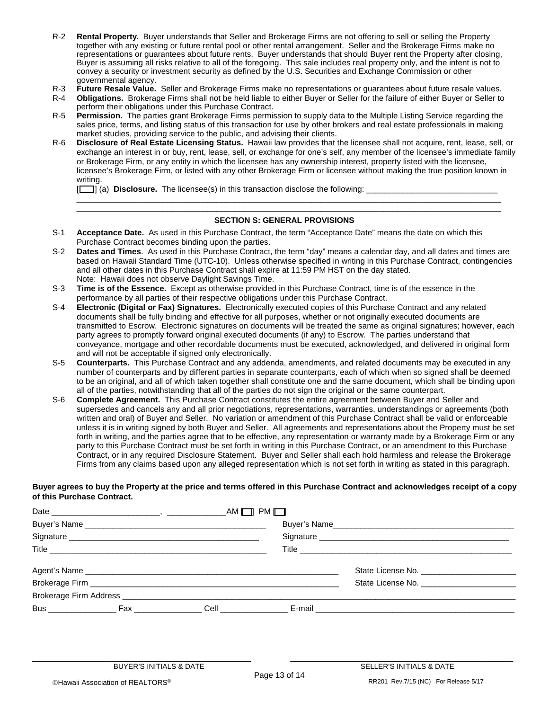- R-2 **Rental Property.** Buyer understands that Seller and Brokerage Firms are not offering to sell or selling the Property together with any existing or future rental pool or other rental arrangement. Seller and the Brokerage Firms make no representations or guarantees about future rents. Buyer understands that should Buyer rent the Property after closing, Buyer is assuming all risks relative to all of the foregoing. This sale includes real property only, and the intent is not to convey a security or investment security as defined by the U.S. Securities and Exchange Commission or other governmental agency.
- R-3 **Future Resale Value.** Seller and Brokerage Firms make no representations or guarantees about future resale values.<br>R-4 **Obligations.** Brokerage Firms shall not be held liable to either Buver or Seller for the failure
- R-4 **Obligations.** Brokerage Firms shall not be held liable to either Buyer or Seller for the failure of either Buyer or Seller to perform their obligations under this Purchase Contract.
- R-5 **Permission.** The parties grant Brokerage Firms permission to supply data to the Multiple Listing Service regarding the sales price, terms, and listing status of this transaction for use by other brokers and real estate professionals in making market studies, providing service to the public, and advising their clients.
- R-6 **Disclosure of Real Estate Licensing Status.** Hawaii law provides that the licensee shall not acquire, rent, lease, sell, or exchange an interest in or buy, rent, lease, sell, or exchange for one's self, any member of the licensee's immediate family or Brokerage Firm, or any entity in which the licensee has any ownership interest, property listed with the licensee, licensee's Brokerage Firm, or listed with any other Brokerage Firm or licensee without making the true position known in writing.

[ ] (a) **Disclosure.** The licensee(s) in this transaction disclose the following: \_\_\_\_\_\_\_\_\_\_\_\_\_\_\_\_\_\_\_\_\_\_\_\_\_\_\_\_\_

# \_\_\_\_\_\_\_\_\_\_\_\_\_\_\_\_\_\_\_\_\_\_\_\_\_\_\_\_\_\_\_\_\_\_\_\_\_\_\_\_\_\_\_\_\_\_\_\_\_\_\_\_\_\_\_\_\_\_\_\_\_\_\_\_\_\_\_\_\_\_\_\_\_\_\_\_\_\_\_\_\_\_\_\_\_\_\_\_\_\_\_\_\_\_ **SECTION S: GENERAL PROVISIONS**

\_\_\_\_\_\_\_\_\_\_\_\_\_\_\_\_\_\_\_\_\_\_\_\_\_\_\_\_\_\_\_\_\_\_\_\_\_\_\_\_\_\_\_\_\_\_\_\_\_\_\_\_\_\_\_\_\_\_\_\_\_\_\_\_\_\_\_\_\_\_\_\_\_\_\_\_\_\_\_\_\_\_\_\_\_\_\_\_\_\_\_\_\_\_

- S-1 **Acceptance Date.** As used in this Purchase Contract, the term "Acceptance Date" means the date on which this Purchase Contract becomes binding upon the parties.
- S-2 **Dates and Times**. As used in this Purchase Contract, the term "day" means a calendar day, and all dates and times are based on Hawaii Standard Time (UTC-10). Unless otherwise specified in writing in this Purchase Contract, contingencies and all other dates in this Purchase Contract shall expire at 11:59 PM HST on the day stated. Note: Hawaii does not observe Daylight Savings Time.
- S-3 **Time is of the Essence.** Except as otherwise provided in this Purchase Contract, time is of the essence in the performance by all parties of their respective obligations under this Purchase Contract.
- S-4 **Electronic (Digital or Fax) Signatures.** Electronically executed copies of this Purchase Contract and any related documents shall be fully binding and effective for all purposes, whether or not originally executed documents are transmitted to Escrow. Electronic signatures on documents will be treated the same as original signatures; however, each party agrees to promptly forward original executed documents (if any) to Escrow. The parties understand that conveyance, mortgage and other recordable documents must be executed, acknowledged, and delivered in original form and will not be acceptable if signed only electronically.
- S-5 **Counterparts.** This Purchase Contract and any addenda, amendments, and related documents may be executed in any number of counterparts and by different parties in separate counterparts, each of which when so signed shall be deemed to be an original, and all of which taken together shall constitute one and the same document, which shall be binding upon all of the parties, notwithstanding that all of the parties do not sign the original or the same counterpart.
- S-6 **Complete Agreement.** This Purchase Contract constitutes the entire agreement between Buyer and Seller and supersedes and cancels any and all prior negotiations, representations, warranties, understandings or agreements (both written and oral) of Buyer and Seller. No variation or amendment of this Purchase Contract shall be valid or enforceable unless it is in writing signed by both Buyer and Seller. All agreements and representations about the Property must be set forth in writing, and the parties agree that to be effective, any representation or warranty made by a Brokerage Firm or any party to this Purchase Contract must be set forth in writing in this Purchase Contract, or an amendment to this Purchase Contract, or in any required Disclosure Statement. Buyer and Seller shall each hold harmless and release the Brokerage Firms from any claims based upon any alleged representation which is not set forth in writing as stated in this paragraph.

# **Buyer agrees to buy the Property at the price and terms offered in this Purchase Contract and acknowledges receipt of a copy of this Purchase Contract.**

|  |  |  |  | State License No. ____________________ |  |
|--|--|--|--|----------------------------------------|--|
|  |  |  |  | State License No.                      |  |
|  |  |  |  |                                        |  |
|  |  |  |  |                                        |  |